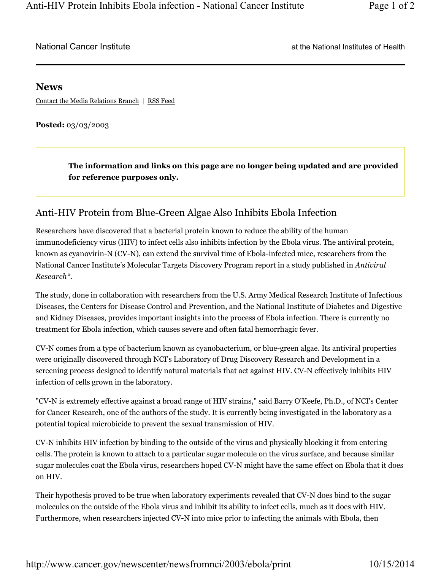## **News**

Contact the Media Relations Branch | RSS Feed

**Posted:** 03/03/2003

**The information and links on this page are no longer being updated and are provided for reference purposes only.**

## Anti-HIV Protein from Blue-Green Algae Also Inhibits Ebola Infection

Researchers have discovered that a bacterial protein known to reduce the ability of the human immunodeficiency virus (HIV) to infect cells also inhibits infection by the Ebola virus. The antiviral protein, known as cyanovirin-N (CV-N), can extend the survival time of Ebola-infected mice, researchers from the National Cancer Institute's Molecular Targets Discovery Program report in a study published in *Antiviral Research\*.*

The study, done in collaboration with researchers from the U.S. Army Medical Research Institute of Infectious Diseases, the Centers for Disease Control and Prevention, and the National Institute of Diabetes and Digestive and Kidney Diseases, provides important insights into the process of Ebola infection. There is currently no treatment for Ebola infection, which causes severe and often fatal hemorrhagic fever.

CV-N comes from a type of bacterium known as cyanobacterium, or blue-green algae. Its antiviral properties were originally discovered through NCI's Laboratory of Drug Discovery Research and Development in a screening process designed to identify natural materials that act against HIV. CV-N effectively inhibits HIV infection of cells grown in the laboratory.

"CV-N is extremely effective against a broad range of HIV strains," said Barry O'Keefe, Ph.D., of NCI's Center for Cancer Research, one of the authors of the study. It is currently being investigated in the laboratory as a potential topical microbicide to prevent the sexual transmission of HIV.

CV-N inhibits HIV infection by binding to the outside of the virus and physically blocking it from entering cells. The protein is known to attach to a particular sugar molecule on the virus surface, and because similar sugar molecules coat the Ebola virus, researchers hoped CV-N might have the same effect on Ebola that it does on HIV.

Their hypothesis proved to be true when laboratory experiments revealed that CV-N does bind to the sugar molecules on the outside of the Ebola virus and inhibit its ability to infect cells, much as it does with HIV. Furthermore, when researchers injected CV-N into mice prior to infecting the animals with Ebola, then